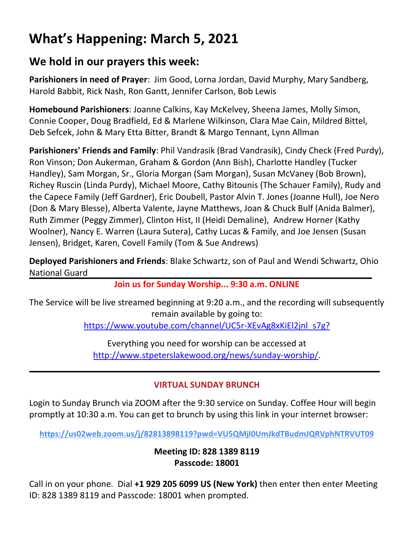# **What's Happening: March 5, 2021**

### **We hold in our prayers this week:**

**Parishioners in need of Prayer**: Jim Good, Lorna Jordan, David Murphy, Mary Sandberg, Harold Babbit, Rick Nash, Ron Gantt, Jennifer Carlson, Bob Lewis

**Homebound Parishioners**: Joanne Calkins, Kay McKelvey, Sheena James, Molly Simon, Connie Cooper, Doug Bradfield, Ed & Marlene Wilkinson, Clara Mae Cain, Mildred Bittel, Deb Sefcek, John & Mary Etta Bitter, Brandt & Margo Tennant, Lynn Allman

**Parishioners' Friends and Family**: Phil Vandrasik (Brad Vandrasik), Cindy Check (Fred Purdy), Ron Vinson; Don Aukerman, Graham & Gordon (Ann Bish), Charlotte Handley (Tucker Handley), Sam Morgan, Sr., Gloria Morgan (Sam Morgan), Susan McVaney (Bob Brown), Richey Ruscin (Linda Purdy), Michael Moore, Cathy Bitounis (The Schauer Family), Rudy and the Capece Family (Jeff Gardner), Eric Doubell, Pastor Alvin T. Jones (Joanne Hull), Joe Nero (Don & Mary Blesse), Alberta Valente, Jayne Matthews, Joan & Chuck Bulf (Anida Balmer), Ruth Zimmer (Peggy Zimmer), Clinton Hist, II (Heidi Demaline), Andrew Horner (Kathy Woolner), Nancy E. Warren (Laura Sutera), Cathy Lucas & Family, and Joe Jensen (Susan Jensen), Bridget, Karen, Covell Family (Tom & Sue Andrews)

**Deployed Parishioners and Friends**: Blake Schwartz, son of Paul and Wendi Schwartz, Ohio National Guard

**Join us for Sunday Worship... 9:30 a.m. ONLINE**

The Service will be live streamed beginning at 9:20 a.m., and the recording will subsequently remain available by going to: [https://www.youtube.com/channel/UC5r-XEvAg8xKiEl2jnl\\_s7g?](https://www.youtube.com/channel/UC5r-XEvAg8xKiEl2jnl_s7g?)

> Everything you need for worship can be accessed at [http://www.stpeterslakewood.org/news/sunday-worship/.](http://www.stpeterslakewood.org/news/sunday-worship/)

#### **VIRTUAL SUNDAY BRUNCH**

Login to Sunday Brunch via ZOOM after the 9:30 service on Sunday. Coffee Hour will begin promptly at 10:30 a.m. You can get to brunch by using this link in your internet browser:

**<https://us02web.zoom.us/j/82813898119?pwd=VU5QMjl0UmJkdTBudmJQRVphNTRVUT09>**

**Meeting ID: 828 1389 8119 Passcode: 18001**

Call in on your phone. Dial **+1 929 205 6099 US (New York)** then enter then enter Meeting ID: 828 1389 8119 and Passcode: 18001 when prompted.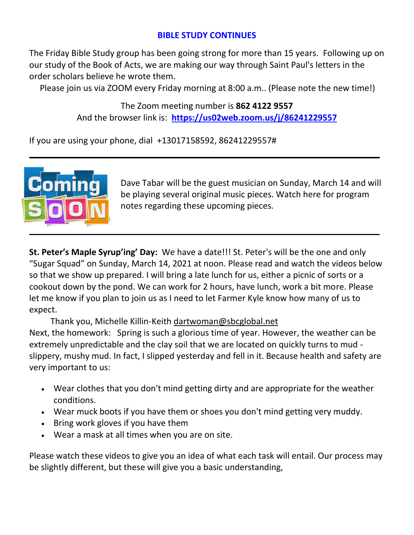#### **BIBLE STUDY CONTINUES**

The Friday Bible Study group has been going strong for more than 15 years. Following up on our study of the Book of Acts, we are making our way through Saint Paul's letters in the order scholars believe he wrote them.

Please join us via ZOOM every Friday morning at 8:00 a.m.. (Please note the new time!)

The Zoom meeting number is **862 4122 9557** And the browser link is: **<https://us02web.zoom.us/j/86241229557>**

If you are using your phone, dial +13017158592, 86241229557#



Dave Tabar will be the guest musician on Sunday, March 14 and will be playing several original music pieces. Watch here for program notes regarding these upcoming pieces.

**St. Peter's Maple Syrup'ing' Day:** We have a date!!! St. Peter's will be the one and only "Sugar Squad" on Sunday, March 14, 2021 at noon. Please read and watch the videos below so that we show up prepared. I will bring a late lunch for us, either a picnic of sorts or a cookout down by the pond. We can work for 2 hours, have lunch, work a bit more. Please let me know if you plan to join us as I need to let Farmer Kyle know how many of us to expect.

 Thank you, Michelle Killin-Keith [dartwoman@sbcglobal.net](mailto:dartwoman@sbcglobal.net) Next, the homework: Spring is such a glorious time of year. However, the weather can be extremely unpredictable and the clay soil that we are located on quickly turns to mud slippery, mushy mud. In fact, I slipped yesterday and fell in it. Because health and safety are very important to us:

- Wear clothes that you don't mind getting dirty and are appropriate for the weather conditions.
- Wear muck boots if you have them or shoes you don't mind getting very muddy.
- Bring work gloves if you have them
- Wear a mask at all times when you are on site.

Please watch these videos to give you an idea of what each task will entail. Our process may be slightly different, but these will give you a basic understanding,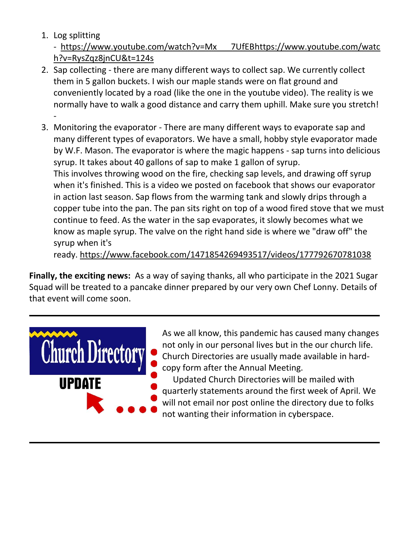- 1. Log splitting
	- [https://www.youtube.com/watch?v=Mx\\_\\_\\_7UfEB](https://www.youtube.com/watch?v=Mx___7UfEBc)[https://www.youtube.com/watc](https://www.youtube.com/watch?v=RysZqz8jnCU&t=124s) [h?v=RysZqz8jnCU&t=124s](https://www.youtube.com/watch?v=RysZqz8jnCU&t=124s)
- 2. Sap collecting there are many different ways to collect sap. We currently collect them in 5 gallon buckets. I wish our maple stands were on flat ground and conveniently located by a road (like the one in the youtube video). The reality is we normally have to walk a good distance and carry them uphill. Make sure you stretch! -
- 3. Monitoring the evaporator There are many different ways to evaporate sap and many different types of evaporators. We have a small, hobby style evaporator made by W.F. Mason. The evaporator is where the magic happens - sap turns into delicious syrup. It takes about 40 gallons of sap to make 1 gallon of syrup. This involves throwing wood on the fire, checking sap levels, and drawing off syrup when it's finished. This is a video we posted on facebook that shows our evaporator in action last season. Sap flows from the warming tank and slowly drips through a copper tube into the pan. The pan sits right on top of a wood fired stove that we must continue to feed. As the water in the sap evaporates, it slowly becomes what we know as maple syrup. The valve on the right hand side is where we "draw off" the syrup when it's

ready. <https://www.facebook.com/1471854269493517/videos/177792670781038>

**Finally, the exciting news:** As a way of saying thanks, all who participate in the 2021 Sugar Squad will be treated to a pancake dinner prepared by our very own Chef Lonny. Details of that event will come soon.



As we all know, this pandemic has caused many changes not only in our personal lives but in the our church life. Church Directories are usually made available in hardcopy form after the Annual Meeting.

 Updated Church Directories will be mailed with quarterly statements around the first week of April. We will not email nor post online the directory due to folks not wanting their information in cyberspace.